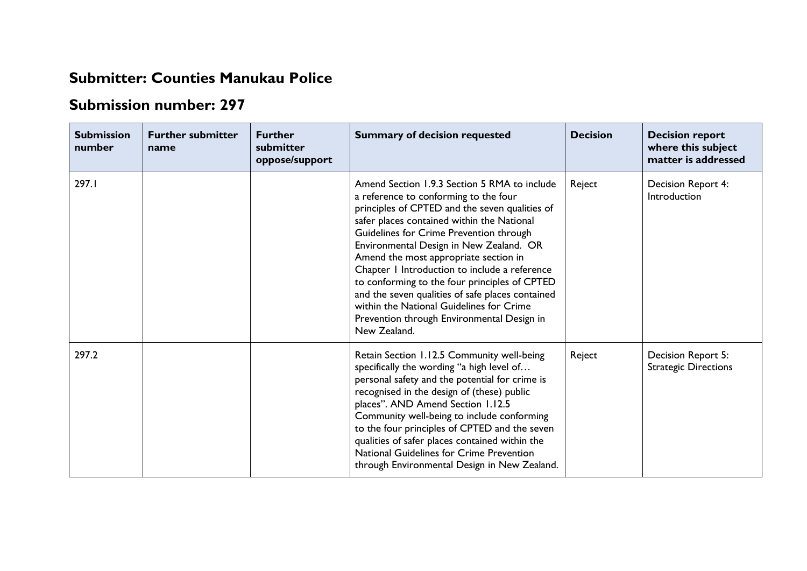## **Submitter: Counties Manukau Police**

## **Submission number: 297**

| <b>Submission</b><br>number | <b>Further submitter</b><br>name | <b>Further</b><br>submitter<br>oppose/support | <b>Summary of decision requested</b>                                                                                                                                                                                                                                                                                                                                                                                                                                                                                                                                                 | <b>Decision</b> | <b>Decision report</b><br>where this subject<br>matter is addressed |
|-----------------------------|----------------------------------|-----------------------------------------------|--------------------------------------------------------------------------------------------------------------------------------------------------------------------------------------------------------------------------------------------------------------------------------------------------------------------------------------------------------------------------------------------------------------------------------------------------------------------------------------------------------------------------------------------------------------------------------------|-----------------|---------------------------------------------------------------------|
| 297.1                       |                                  |                                               | Amend Section 1.9.3 Section 5 RMA to include<br>a reference to conforming to the four<br>principles of CPTED and the seven qualities of<br>safer places contained within the National<br>Guidelines for Crime Prevention through<br>Environmental Design in New Zealand. OR<br>Amend the most appropriate section in<br>Chapter 1 Introduction to include a reference<br>to conforming to the four principles of CPTED<br>and the seven qualities of safe places contained<br>within the National Guidelines for Crime<br>Prevention through Environmental Design in<br>New Zealand. | Reject          | Decision Report 4:<br>Introduction                                  |
| 297.2                       |                                  |                                               | Retain Section 1.12.5 Community well-being<br>specifically the wording "a high level of<br>personal safety and the potential for crime is<br>recognised in the design of (these) public<br>places". AND Amend Section 1.12.5<br>Community well-being to include conforming<br>to the four principles of CPTED and the seven<br>qualities of safer places contained within the<br>National Guidelines for Crime Prevention<br>through Environmental Design in New Zealand.                                                                                                            | Reject          | Decision Report 5:<br><b>Strategic Directions</b>                   |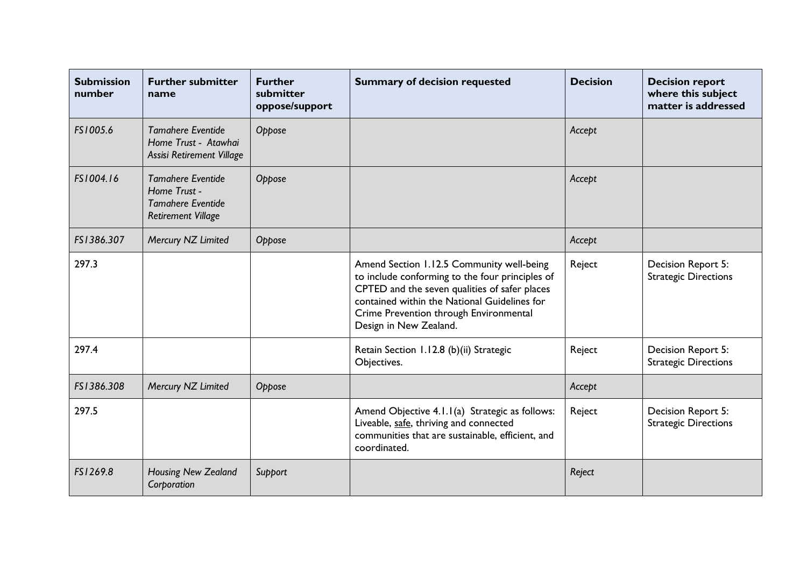| <b>Submission</b><br>number | <b>Further submitter</b><br>name                                                                  | <b>Further</b><br>submitter<br>oppose/support | <b>Summary of decision requested</b>                                                                                                                                                                                                                              | <b>Decision</b> | <b>Decision report</b><br>where this subject<br>matter is addressed |
|-----------------------------|---------------------------------------------------------------------------------------------------|-----------------------------------------------|-------------------------------------------------------------------------------------------------------------------------------------------------------------------------------------------------------------------------------------------------------------------|-----------------|---------------------------------------------------------------------|
| FS1005.6                    | <b>Tamahere Eventide</b><br>Home Trust - Atawhai<br>Assisi Retirement Village                     | Oppose                                        |                                                                                                                                                                                                                                                                   | Accept          |                                                                     |
| FS1004.16                   | <b>Tamahere Eventide</b><br>Home Trust -<br><b>Tamahere Eventide</b><br><b>Retirement Village</b> | Oppose                                        |                                                                                                                                                                                                                                                                   | Accept          |                                                                     |
| FS1386.307                  | Mercury NZ Limited                                                                                | Oppose                                        |                                                                                                                                                                                                                                                                   | Accept          |                                                                     |
| 297.3                       |                                                                                                   |                                               | Amend Section 1.12.5 Community well-being<br>to include conforming to the four principles of<br>CPTED and the seven qualities of safer places<br>contained within the National Guidelines for<br>Crime Prevention through Environmental<br>Design in New Zealand. | Reject          | Decision Report 5:<br><b>Strategic Directions</b>                   |
| 297.4                       |                                                                                                   |                                               | Retain Section 1.12.8 (b)(ii) Strategic<br>Objectives.                                                                                                                                                                                                            | Reject          | Decision Report 5:<br><b>Strategic Directions</b>                   |
| FS1386.308                  | Mercury NZ Limited                                                                                | Oppose                                        |                                                                                                                                                                                                                                                                   | Accept          |                                                                     |
| 297.5                       |                                                                                                   |                                               | Amend Objective 4.1.1(a) Strategic as follows:<br>Liveable, safe, thriving and connected<br>communities that are sustainable, efficient, and<br>coordinated.                                                                                                      | Reject          | Decision Report 5:<br><b>Strategic Directions</b>                   |
| FS1269.8                    | <b>Housing New Zealand</b><br>Corporation                                                         | Support                                       |                                                                                                                                                                                                                                                                   | Reject          |                                                                     |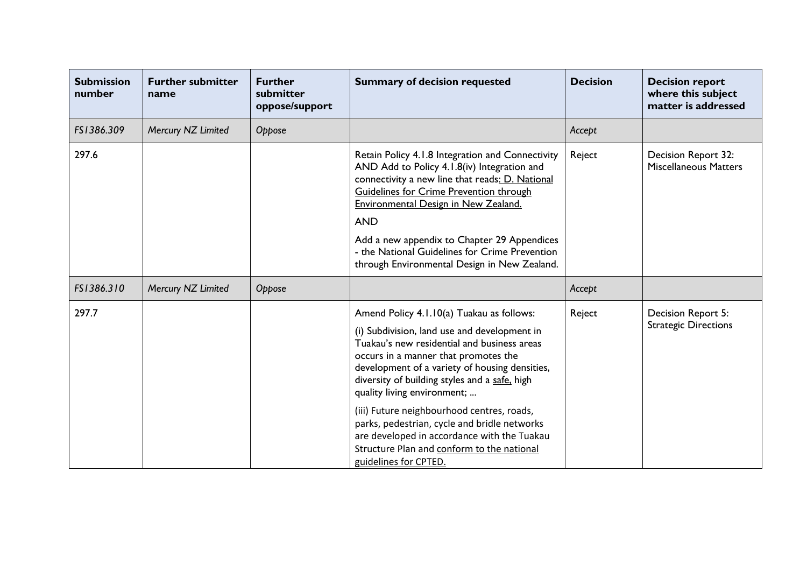| <b>Submission</b><br>number | <b>Further submitter</b><br>name | <b>Further</b><br>submitter<br>oppose/support | <b>Summary of decision requested</b>                                                                                                                                                                                                                                                                                                                                                                                                                                                                                                   | <b>Decision</b> | <b>Decision report</b><br>where this subject<br>matter is addressed |
|-----------------------------|----------------------------------|-----------------------------------------------|----------------------------------------------------------------------------------------------------------------------------------------------------------------------------------------------------------------------------------------------------------------------------------------------------------------------------------------------------------------------------------------------------------------------------------------------------------------------------------------------------------------------------------------|-----------------|---------------------------------------------------------------------|
| FS1386.309                  | Mercury NZ Limited               | Oppose                                        |                                                                                                                                                                                                                                                                                                                                                                                                                                                                                                                                        | Accept          |                                                                     |
| 297.6                       |                                  |                                               | Retain Policy 4.1.8 Integration and Connectivity<br>AND Add to Policy 4.1.8(iv) Integration and<br>connectivity a new line that reads: D. National<br><b>Guidelines for Crime Prevention through</b><br><b>Environmental Design in New Zealand.</b><br><b>AND</b><br>Add a new appendix to Chapter 29 Appendices<br>- the National Guidelines for Crime Prevention<br>through Environmental Design in New Zealand.                                                                                                                     | Reject          | Decision Report 32:<br><b>Miscellaneous Matters</b>                 |
| FS1386.310                  | Mercury NZ Limited               | Oppose                                        |                                                                                                                                                                                                                                                                                                                                                                                                                                                                                                                                        | Accept          |                                                                     |
| 297.7                       |                                  |                                               | Amend Policy 4.1.10(a) Tuakau as follows:<br>(i) Subdivision, land use and development in<br>Tuakau's new residential and business areas<br>occurs in a manner that promotes the<br>development of a variety of housing densities,<br>diversity of building styles and a safe, high<br>quality living environment;<br>(iii) Future neighbourhood centres, roads,<br>parks, pedestrian, cycle and bridle networks<br>are developed in accordance with the Tuakau<br>Structure Plan and conform to the national<br>guidelines for CPTED. | Reject          | Decision Report 5:<br><b>Strategic Directions</b>                   |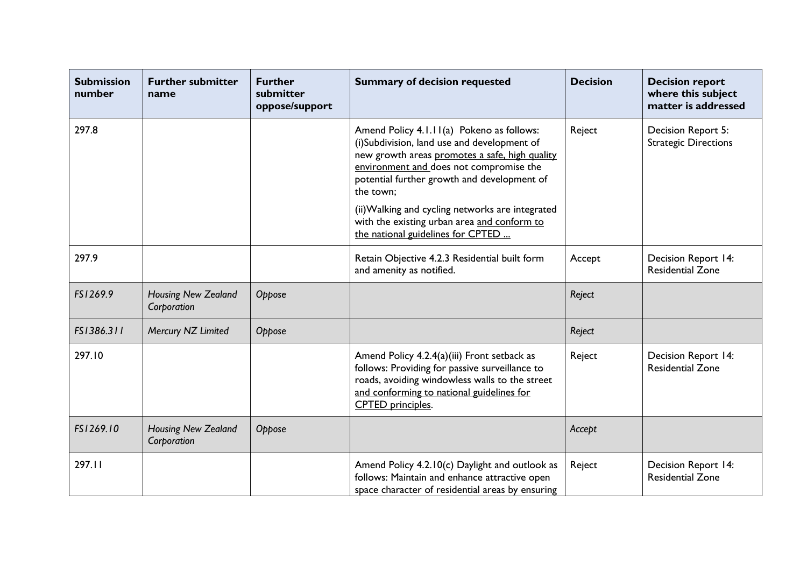| <b>Submission</b><br>number | <b>Further submitter</b><br>name   | <b>Further</b><br>submitter<br>oppose/support | <b>Summary of decision requested</b>                                                                                                                                                                                                                                                                                                                 | <b>Decision</b> | <b>Decision report</b><br>where this subject<br>matter is addressed |
|-----------------------------|------------------------------------|-----------------------------------------------|------------------------------------------------------------------------------------------------------------------------------------------------------------------------------------------------------------------------------------------------------------------------------------------------------------------------------------------------------|-----------------|---------------------------------------------------------------------|
| 297.8                       |                                    |                                               | Amend Policy 4.1.11(a) Pokeno as follows:<br>(i)Subdivision, land use and development of<br>new growth areas promotes a safe, high quality<br>environment and does not compromise the<br>potential further growth and development of<br>the town;<br>(ii) Walking and cycling networks are integrated<br>with the existing urban area and conform to | Reject          | Decision Report 5:<br><b>Strategic Directions</b>                   |
|                             |                                    |                                               | the national guidelines for CPTED                                                                                                                                                                                                                                                                                                                    |                 |                                                                     |
| 297.9                       |                                    |                                               | Retain Objective 4.2.3 Residential built form<br>and amenity as notified.                                                                                                                                                                                                                                                                            | Accept          | <b>Decision Report 14:</b><br><b>Residential Zone</b>               |
| FS1269.9                    | Housing New Zealand<br>Corporation | Oppose                                        |                                                                                                                                                                                                                                                                                                                                                      | Reject          |                                                                     |
| FS1386.311                  | Mercury NZ Limited                 | Oppose                                        |                                                                                                                                                                                                                                                                                                                                                      | Reject          |                                                                     |
| 297.10                      |                                    |                                               | Amend Policy 4.2.4(a)(iii) Front setback as<br>follows: Providing for passive surveillance to<br>roads, avoiding windowless walls to the street<br>and conforming to national guidelines for<br><b>CPTED</b> principles.                                                                                                                             | Reject          | Decision Report 14:<br><b>Residential Zone</b>                      |
| FS1269.10                   | Housing New Zealand<br>Corporation | Oppose                                        |                                                                                                                                                                                                                                                                                                                                                      | Accept          |                                                                     |
| 297.11                      |                                    |                                               | Amend Policy 4.2.10(c) Daylight and outlook as<br>follows: Maintain and enhance attractive open<br>space character of residential areas by ensuring                                                                                                                                                                                                  | Reject          | Decision Report 14:<br><b>Residential Zone</b>                      |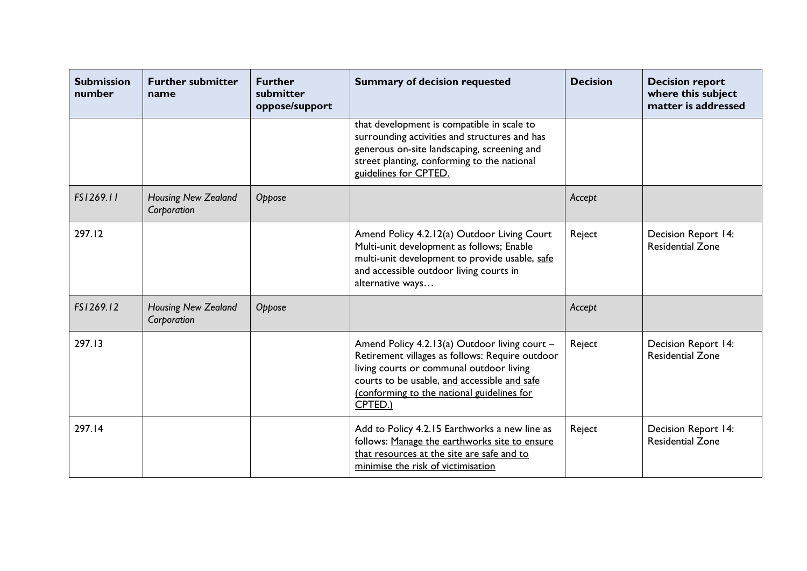| <b>Submission</b><br>number | <b>Further submitter</b><br>name          | <b>Further</b><br>submitter<br>oppose/support | <b>Summary of decision requested</b>                                                                                                                                                                                                                  | <b>Decision</b> | <b>Decision report</b><br>where this subject<br>matter is addressed |
|-----------------------------|-------------------------------------------|-----------------------------------------------|-------------------------------------------------------------------------------------------------------------------------------------------------------------------------------------------------------------------------------------------------------|-----------------|---------------------------------------------------------------------|
|                             |                                           |                                               | that development is compatible in scale to<br>surrounding activities and structures and has<br>generous on-site landscaping, screening and<br>street planting, conforming to the national<br>guidelines for CPTED.                                    |                 |                                                                     |
| FS1269.11                   | <b>Housing New Zealand</b><br>Corporation | Oppose                                        |                                                                                                                                                                                                                                                       | Accept          |                                                                     |
| 297.12                      |                                           |                                               | Amend Policy 4.2.12(a) Outdoor Living Court<br>Multi-unit development as follows; Enable<br>multi-unit development to provide usable, safe<br>and accessible outdoor living courts in<br>alternative ways                                             | Reject          | Decision Report 14:<br><b>Residential Zone</b>                      |
| FS1269.12                   | Housing New Zealand<br>Corporation        | Oppose                                        |                                                                                                                                                                                                                                                       | Accept          |                                                                     |
| 297.13                      |                                           |                                               | Amend Policy 4.2.13(a) Outdoor living court -<br>Retirement villages as follows: Require outdoor<br>living courts or communal outdoor living<br>courts to be usable, and accessible and safe<br>(conforming to the national guidelines for<br>CPTED.) | Reject          | Decision Report 14:<br><b>Residential Zone</b>                      |
| 297.14                      |                                           |                                               | Add to Policy 4.2.15 Earthworks a new line as<br>follows: Manage the earthworks site to ensure<br>that resources at the site are safe and to<br>minimise the risk of victimisation                                                                    | Reject          | <b>Decision Report 14:</b><br><b>Residential Zone</b>               |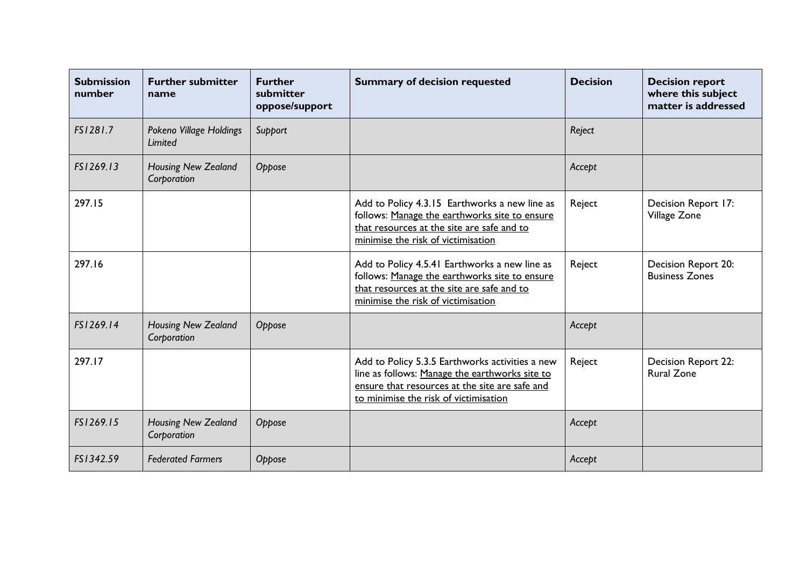| <b>Submission</b><br>number | <b>Further submitter</b><br>name          | <b>Further</b><br>submitter<br>oppose/support | <b>Summary of decision requested</b>                                                                                                                                                         | <b>Decision</b> | <b>Decision report</b><br>where this subject<br>matter is addressed |
|-----------------------------|-------------------------------------------|-----------------------------------------------|----------------------------------------------------------------------------------------------------------------------------------------------------------------------------------------------|-----------------|---------------------------------------------------------------------|
| FS1281.7                    | Pokeno Village Holdings<br>Limited        | Support                                       |                                                                                                                                                                                              | Reject          |                                                                     |
| FS1269.13                   | <b>Housing New Zealand</b><br>Corporation | Oppose                                        |                                                                                                                                                                                              | Accept          |                                                                     |
| 297.15                      |                                           |                                               | Add to Policy 4.3.15 Earthworks a new line as<br>follows: Manage the earthworks site to ensure<br>that resources at the site are safe and to<br>minimise the risk of victimisation           | Reject          | Decision Report 17:<br>Village Zone                                 |
| 297.16                      |                                           |                                               | Add to Policy 4.5.41 Earthworks a new line as<br>follows: Manage the earthworks site to ensure<br>that resources at the site are safe and to<br>minimise the risk of victimisation           | Reject          | Decision Report 20:<br><b>Business Zones</b>                        |
| FS1269.14                   | Housing New Zealand<br>Corporation        | Oppose                                        |                                                                                                                                                                                              | Accept          |                                                                     |
| 297.17                      |                                           |                                               | Add to Policy 5.3.5 Earthworks activities a new<br>line as follows: Manage the earthworks site to<br>ensure that resources at the site are safe and<br>to minimise the risk of victimisation | Reject          | <b>Decision Report 22:</b><br><b>Rural Zone</b>                     |
| FS1269.15                   | Housing New Zealand<br>Corporation        | Oppose                                        |                                                                                                                                                                                              | Accept          |                                                                     |
| FS1342.59                   | <b>Federated Farmers</b>                  | Oppose                                        |                                                                                                                                                                                              | Accept          |                                                                     |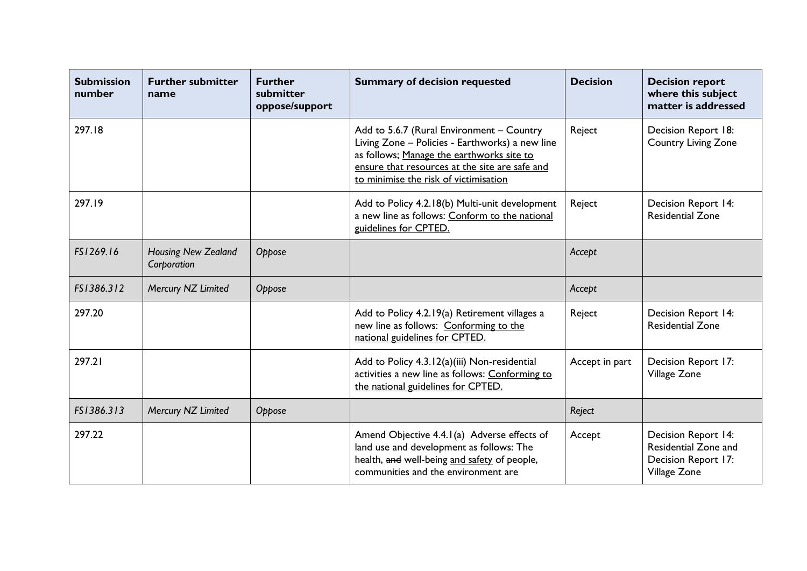| <b>Submission</b><br>number | <b>Further submitter</b><br>name          | <b>Further</b><br>submitter<br>oppose/support | <b>Summary of decision requested</b>                                                                                                                                                                                                 | <b>Decision</b> | <b>Decision report</b><br>where this subject<br>matter is addressed                |
|-----------------------------|-------------------------------------------|-----------------------------------------------|--------------------------------------------------------------------------------------------------------------------------------------------------------------------------------------------------------------------------------------|-----------------|------------------------------------------------------------------------------------|
| 297.18                      |                                           |                                               | Add to 5.6.7 (Rural Environment - Country<br>Living Zone - Policies - Earthworks) a new line<br>as follows; Manage the earthworks site to<br>ensure that resources at the site are safe and<br>to minimise the risk of victimisation | Reject          | Decision Report 18:<br><b>Country Living Zone</b>                                  |
| 297.19                      |                                           |                                               | Add to Policy 4.2.18(b) Multi-unit development<br>a new line as follows: Conform to the national<br>guidelines for CPTED.                                                                                                            | Reject          | <b>Decision Report 14:</b><br><b>Residential Zone</b>                              |
| FS1269.16                   | <b>Housing New Zealand</b><br>Corporation | Oppose                                        |                                                                                                                                                                                                                                      | Accept          |                                                                                    |
| FS1386.312                  | Mercury NZ Limited                        | Oppose                                        |                                                                                                                                                                                                                                      | Accept          |                                                                                    |
| 297.20                      |                                           |                                               | Add to Policy 4.2.19(a) Retirement villages a<br>new line as follows: Conforming to the<br>national guidelines for CPTED.                                                                                                            | Reject          | <b>Decision Report 14:</b><br><b>Residential Zone</b>                              |
| 297.21                      |                                           |                                               | Add to Policy 4.3.12(a)(iii) Non-residential<br>activities a new line as follows: Conforming to<br>the national guidelines for CPTED.                                                                                                | Accept in part  | Decision Report 17:<br>Village Zone                                                |
| FS1386.313                  | Mercury NZ Limited                        | Oppose                                        |                                                                                                                                                                                                                                      | Reject          |                                                                                    |
| 297.22                      |                                           |                                               | Amend Objective 4.4.1(a) Adverse effects of<br>land use and development as follows: The<br>health, and well-being and safety of people,<br>communities and the environment are                                                       | Accept          | Decision Report 14:<br>Residential Zone and<br>Decision Report 17:<br>Village Zone |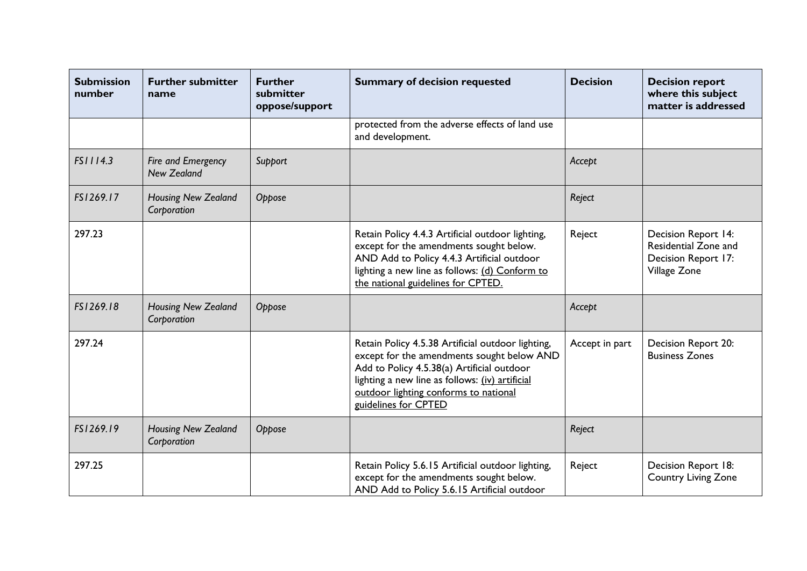| <b>Submission</b><br>number | <b>Further submitter</b><br>name          | <b>Further</b><br>submitter<br>oppose/support | <b>Summary of decision requested</b>                                                                                                                                                                                                                              | <b>Decision</b> | <b>Decision report</b><br>where this subject<br>matter is addressed                |
|-----------------------------|-------------------------------------------|-----------------------------------------------|-------------------------------------------------------------------------------------------------------------------------------------------------------------------------------------------------------------------------------------------------------------------|-----------------|------------------------------------------------------------------------------------|
|                             |                                           |                                               | protected from the adverse effects of land use<br>and development.                                                                                                                                                                                                |                 |                                                                                    |
| FS1114.3                    | Fire and Emergency<br><b>New Zealand</b>  | Support                                       |                                                                                                                                                                                                                                                                   | Accept          |                                                                                    |
| FS1269.17                   | <b>Housing New Zealand</b><br>Corporation | Oppose                                        |                                                                                                                                                                                                                                                                   | Reject          |                                                                                    |
| 297.23                      |                                           |                                               | Retain Policy 4.4.3 Artificial outdoor lighting,<br>except for the amendments sought below.<br>AND Add to Policy 4.4.3 Artificial outdoor<br>lighting a new line as follows: (d) Conform to<br>the national guidelines for CPTED.                                 | Reject          | Decision Report 14:<br>Residential Zone and<br>Decision Report 17:<br>Village Zone |
| FS1269.18                   | Housing New Zealand<br>Corporation        | Oppose                                        |                                                                                                                                                                                                                                                                   | Accept          |                                                                                    |
| 297.24                      |                                           |                                               | Retain Policy 4.5.38 Artificial outdoor lighting,<br>except for the amendments sought below AND<br>Add to Policy 4.5.38(a) Artificial outdoor<br>lighting a new line as follows: (iv) artificial<br>outdoor lighting conforms to national<br>guidelines for CPTED | Accept in part  | Decision Report 20:<br><b>Business Zones</b>                                       |
| FS1269.19                   | <b>Housing New Zealand</b><br>Corporation | Oppose                                        |                                                                                                                                                                                                                                                                   | Reject          |                                                                                    |
| 297.25                      |                                           |                                               | Retain Policy 5.6.15 Artificial outdoor lighting,<br>except for the amendments sought below.<br>AND Add to Policy 5.6.15 Artificial outdoor                                                                                                                       | Reject          | Decision Report 18:<br>Country Living Zone                                         |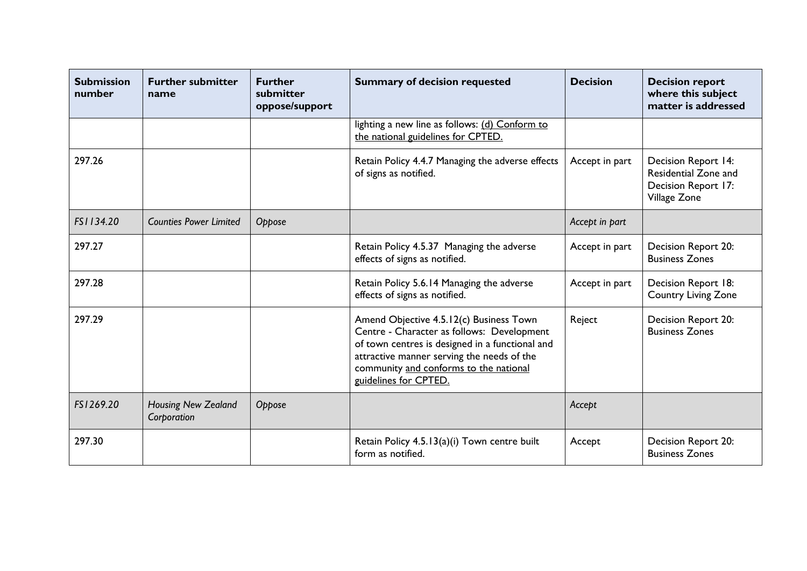| <b>Submission</b><br>number | <b>Further submitter</b><br>name          | <b>Further</b><br>submitter<br>oppose/support | <b>Summary of decision requested</b>                                                                                                                                                                                                                      | <b>Decision</b> | <b>Decision report</b><br>where this subject<br>matter is addressed                |
|-----------------------------|-------------------------------------------|-----------------------------------------------|-----------------------------------------------------------------------------------------------------------------------------------------------------------------------------------------------------------------------------------------------------------|-----------------|------------------------------------------------------------------------------------|
|                             |                                           |                                               | lighting a new line as follows: (d) Conform to<br>the national guidelines for CPTED.                                                                                                                                                                      |                 |                                                                                    |
| 297.26                      |                                           |                                               | Retain Policy 4.4.7 Managing the adverse effects<br>of signs as notified.                                                                                                                                                                                 | Accept in part  | Decision Report 14:<br>Residential Zone and<br>Decision Report 17:<br>Village Zone |
| FS1134.20                   | <b>Counties Power Limited</b>             | Oppose                                        |                                                                                                                                                                                                                                                           | Accept in part  |                                                                                    |
| 297.27                      |                                           |                                               | Retain Policy 4.5.37 Managing the adverse<br>effects of signs as notified.                                                                                                                                                                                | Accept in part  | Decision Report 20:<br><b>Business Zones</b>                                       |
| 297.28                      |                                           |                                               | Retain Policy 5.6.14 Managing the adverse<br>effects of signs as notified.                                                                                                                                                                                | Accept in part  | Decision Report 18:<br>Country Living Zone                                         |
| 297.29                      |                                           |                                               | Amend Objective 4.5.12(c) Business Town<br>Centre - Character as follows: Development<br>of town centres is designed in a functional and<br>attractive manner serving the needs of the<br>community and conforms to the national<br>guidelines for CPTED. | Reject          | Decision Report 20:<br><b>Business Zones</b>                                       |
| FS1269.20                   | <b>Housing New Zealand</b><br>Corporation | Oppose                                        |                                                                                                                                                                                                                                                           | Accept          |                                                                                    |
| 297.30                      |                                           |                                               | Retain Policy 4.5.13(a)(i) Town centre built<br>form as notified.                                                                                                                                                                                         | Accept          | Decision Report 20:<br><b>Business Zones</b>                                       |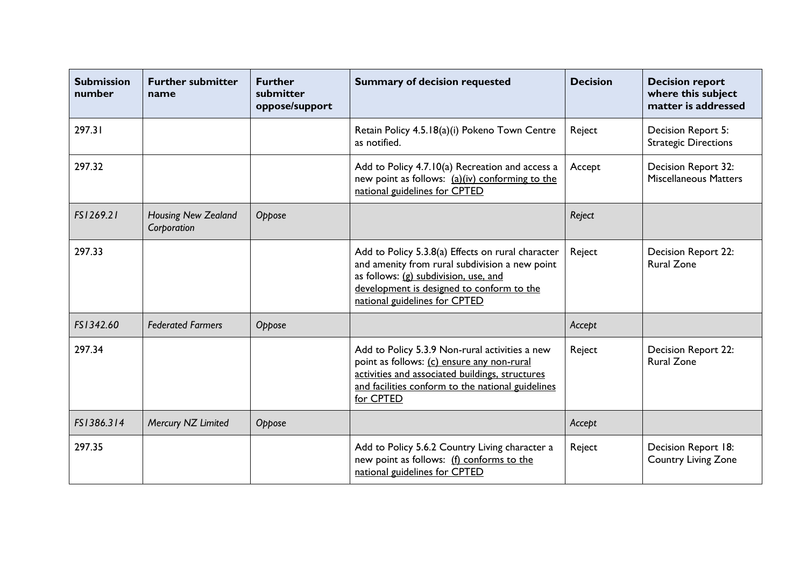| <b>Submission</b><br>number | <b>Further submitter</b><br>name          | <b>Further</b><br>submitter<br>oppose/support | <b>Summary of decision requested</b>                                                                                                                                                                                       | <b>Decision</b> | <b>Decision report</b><br>where this subject<br>matter is addressed |
|-----------------------------|-------------------------------------------|-----------------------------------------------|----------------------------------------------------------------------------------------------------------------------------------------------------------------------------------------------------------------------------|-----------------|---------------------------------------------------------------------|
| 297.31                      |                                           |                                               | Retain Policy 4.5.18(a)(i) Pokeno Town Centre<br>as notified.                                                                                                                                                              | Reject          | Decision Report 5:<br><b>Strategic Directions</b>                   |
| 297.32                      |                                           |                                               | Add to Policy 4.7.10(a) Recreation and access a<br>new point as follows: (a)(iv) conforming to the<br>national guidelines for CPTED                                                                                        | Accept          | Decision Report 32:<br><b>Miscellaneous Matters</b>                 |
| FS1269.21                   | <b>Housing New Zealand</b><br>Corporation | Oppose                                        |                                                                                                                                                                                                                            | Reject          |                                                                     |
| 297.33                      |                                           |                                               | Add to Policy 5.3.8(a) Effects on rural character<br>and amenity from rural subdivision a new point<br>as follows: (g) subdivision, use, and<br>development is designed to conform to the<br>national guidelines for CPTED | Reject          | <b>Decision Report 22:</b><br><b>Rural Zone</b>                     |
| FS1342.60                   | <b>Federated Farmers</b>                  | Oppose                                        |                                                                                                                                                                                                                            | Accept          |                                                                     |
| 297.34                      |                                           |                                               | Add to Policy 5.3.9 Non-rural activities a new<br>point as follows: (c) ensure any non-rural<br>activities and associated buildings, structures<br>and facilities conform to the national guidelines<br>for CPTED          | Reject          | Decision Report 22:<br><b>Rural Zone</b>                            |
| FS1386.314                  | Mercury NZ Limited                        | Oppose                                        |                                                                                                                                                                                                                            | Accept          |                                                                     |
| 297.35                      |                                           |                                               | Add to Policy 5.6.2 Country Living character a<br>new point as follows: (f) conforms to the<br>national guidelines for CPTED                                                                                               | Reject          | Decision Report 18:<br><b>Country Living Zone</b>                   |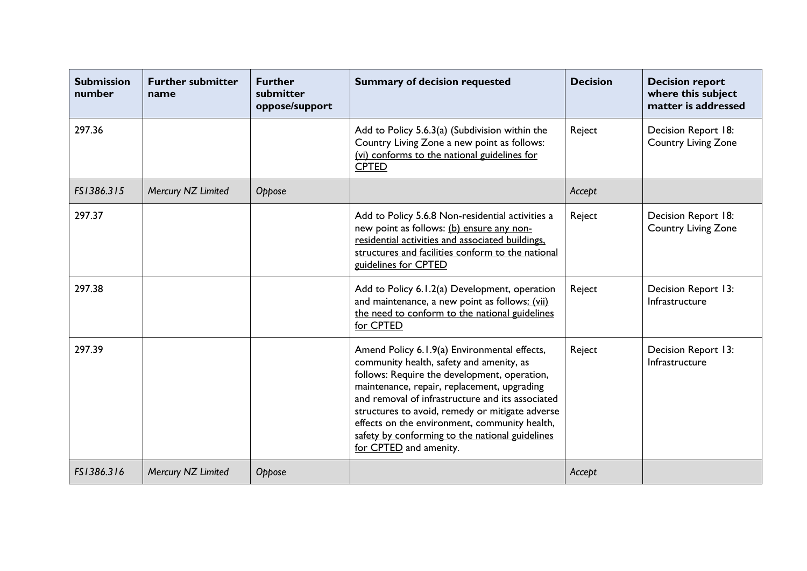| <b>Submission</b><br>number | <b>Further submitter</b><br>name | <b>Further</b><br>submitter<br>oppose/support | <b>Summary of decision requested</b>                                                                                                                                                                                                                                                                                                                                                                                         | <b>Decision</b> | <b>Decision report</b><br>where this subject<br>matter is addressed |
|-----------------------------|----------------------------------|-----------------------------------------------|------------------------------------------------------------------------------------------------------------------------------------------------------------------------------------------------------------------------------------------------------------------------------------------------------------------------------------------------------------------------------------------------------------------------------|-----------------|---------------------------------------------------------------------|
| 297.36                      |                                  |                                               | Add to Policy 5.6.3(a) (Subdivision within the<br>Country Living Zone a new point as follows:<br>(vi) conforms to the national guidelines for<br><b>CPTED</b>                                                                                                                                                                                                                                                                | Reject          | Decision Report 18:<br><b>Country Living Zone</b>                   |
| FS1386.315                  | Mercury NZ Limited               | Oppose                                        |                                                                                                                                                                                                                                                                                                                                                                                                                              | Accept          |                                                                     |
| 297.37                      |                                  |                                               | Add to Policy 5.6.8 Non-residential activities a<br>new point as follows: (b) ensure any non-<br>residential activities and associated buildings,<br>structures and facilities conform to the national<br>guidelines for CPTED                                                                                                                                                                                               | Reject          | Decision Report 18:<br><b>Country Living Zone</b>                   |
| 297.38                      |                                  |                                               | Add to Policy 6.1.2(a) Development, operation<br>and maintenance, a new point as follows: (vii)<br>the need to conform to the national guidelines<br>for CPTED                                                                                                                                                                                                                                                               | Reject          | Decision Report 13:<br>Infrastructure                               |
| 297.39                      |                                  |                                               | Amend Policy 6.1.9(a) Environmental effects,<br>community health, safety and amenity, as<br>follows: Require the development, operation,<br>maintenance, repair, replacement, upgrading<br>and removal of infrastructure and its associated<br>structures to avoid, remedy or mitigate adverse<br>effects on the environment, community health,<br>safety by conforming to the national guidelines<br>for CPTED and amenity. | Reject          | Decision Report 13:<br>Infrastructure                               |
| FS1386.316                  | Mercury NZ Limited               | Oppose                                        |                                                                                                                                                                                                                                                                                                                                                                                                                              | Accept          |                                                                     |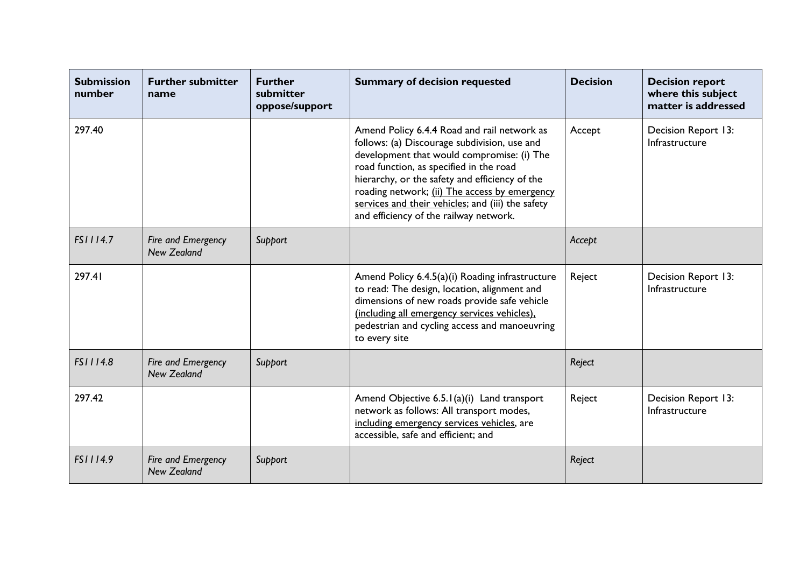| <b>Submission</b><br>number | <b>Further submitter</b><br>name         | <b>Further</b><br>submitter<br>oppose/support | <b>Summary of decision requested</b>                                                                                                                                                                                                                                                                                                                                                   | <b>Decision</b> | <b>Decision report</b><br>where this subject<br>matter is addressed |
|-----------------------------|------------------------------------------|-----------------------------------------------|----------------------------------------------------------------------------------------------------------------------------------------------------------------------------------------------------------------------------------------------------------------------------------------------------------------------------------------------------------------------------------------|-----------------|---------------------------------------------------------------------|
| 297.40                      |                                          |                                               | Amend Policy 6.4.4 Road and rail network as<br>follows: (a) Discourage subdivision, use and<br>development that would compromise: (i) The<br>road function, as specified in the road<br>hierarchy, or the safety and efficiency of the<br>roading network; (ii) The access by emergency<br>services and their vehicles; and (iii) the safety<br>and efficiency of the railway network. | Accept          | Decision Report 13:<br>Infrastructure                               |
| FS1114.7                    | Fire and Emergency<br><b>New Zealand</b> | Support                                       |                                                                                                                                                                                                                                                                                                                                                                                        | Accept          |                                                                     |
| 297.41                      |                                          |                                               | Amend Policy 6.4.5(a)(i) Roading infrastructure<br>to read: The design, location, alignment and<br>dimensions of new roads provide safe vehicle<br>(including all emergency services vehicles).<br>pedestrian and cycling access and manoeuvring<br>to every site                                                                                                                      | Reject          | Decision Report 13:<br>Infrastructure                               |
| FS1114.8                    | Fire and Emergency<br>New Zealand        | Support                                       |                                                                                                                                                                                                                                                                                                                                                                                        | Reject          |                                                                     |
| 297.42                      |                                          |                                               | Amend Objective 6.5.1(a)(i) Land transport<br>network as follows: All transport modes,<br>including emergency services vehicles, are<br>accessible, safe and efficient; and                                                                                                                                                                                                            | Reject          | Decision Report 13:<br>Infrastructure                               |
| FS1114.9                    | Fire and Emergency<br><b>New Zealand</b> | Support                                       |                                                                                                                                                                                                                                                                                                                                                                                        | Reject          |                                                                     |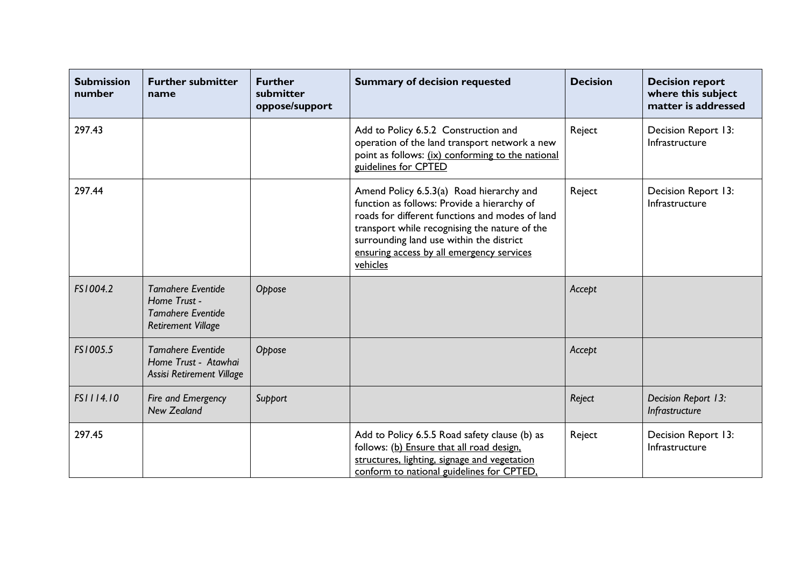| <b>Submission</b><br>number | <b>Further submitter</b><br>name                                                                  | <b>Further</b><br>submitter<br>oppose/support | <b>Summary of decision requested</b>                                                                                                                                                                                                                                                             | <b>Decision</b> | <b>Decision report</b><br>where this subject<br>matter is addressed |
|-----------------------------|---------------------------------------------------------------------------------------------------|-----------------------------------------------|--------------------------------------------------------------------------------------------------------------------------------------------------------------------------------------------------------------------------------------------------------------------------------------------------|-----------------|---------------------------------------------------------------------|
| 297.43                      |                                                                                                   |                                               | Add to Policy 6.5.2 Construction and<br>operation of the land transport network a new<br>point as follows: (ix) conforming to the national<br>guidelines for CPTED                                                                                                                               | Reject          | Decision Report 13:<br>Infrastructure                               |
| 297.44                      |                                                                                                   |                                               | Amend Policy 6.5.3(a) Road hierarchy and<br>function as follows: Provide a hierarchy of<br>roads for different functions and modes of land<br>transport while recognising the nature of the<br>surrounding land use within the district<br>ensuring access by all emergency services<br>vehicles | Reject          | Decision Report 13:<br>Infrastructure                               |
| FS1004.2                    | <b>Tamahere Eventide</b><br>Home Trust -<br><b>Tamahere Eventide</b><br><b>Retirement Village</b> | Oppose                                        |                                                                                                                                                                                                                                                                                                  | Accept          |                                                                     |
| FS1005.5                    | <b>Tamahere Eventide</b><br>Home Trust - Atawhai<br>Assisi Retirement Village                     | Oppose                                        |                                                                                                                                                                                                                                                                                                  | Accept          |                                                                     |
| FS1114.10                   | Fire and Emergency<br><b>New Zealand</b>                                                          | Support                                       |                                                                                                                                                                                                                                                                                                  | Reject          | Decision Report 13:<br>Infrastructure                               |
| 297.45                      |                                                                                                   |                                               | Add to Policy 6.5.5 Road safety clause (b) as<br>follows: (b) Ensure that all road design,<br>structures, lighting, signage and vegetation<br>conform to national guidelines for CPTED,                                                                                                          | Reject          | Decision Report 13:<br>Infrastructure                               |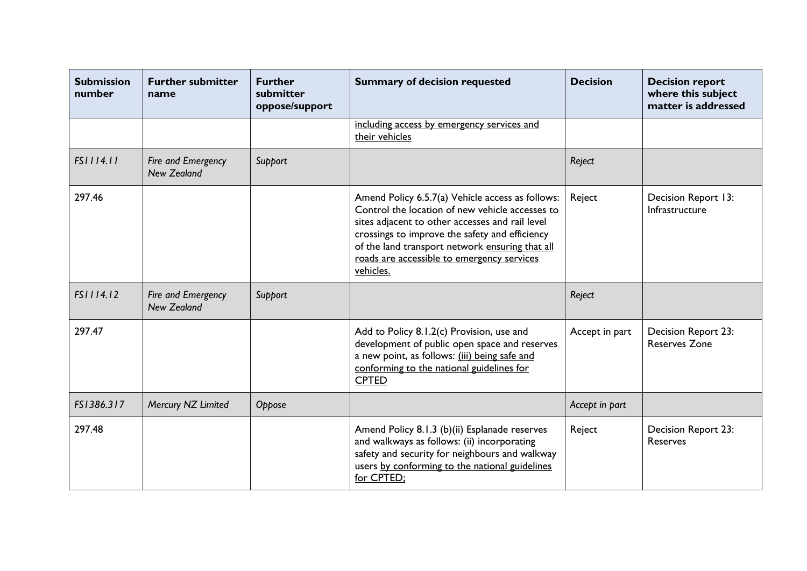| <b>Submission</b><br>number | <b>Further submitter</b><br>name         | <b>Further</b><br>submitter<br>oppose/support | <b>Summary of decision requested</b>                                                                                                                                                                                                                                                                                   | <b>Decision</b> | <b>Decision report</b><br>where this subject<br>matter is addressed |
|-----------------------------|------------------------------------------|-----------------------------------------------|------------------------------------------------------------------------------------------------------------------------------------------------------------------------------------------------------------------------------------------------------------------------------------------------------------------------|-----------------|---------------------------------------------------------------------|
|                             |                                          |                                               | including access by emergency services and<br>their vehicles                                                                                                                                                                                                                                                           |                 |                                                                     |
| FS1114.11                   | Fire and Emergency<br><b>New Zealand</b> | Support                                       |                                                                                                                                                                                                                                                                                                                        | Reject          |                                                                     |
| 297.46                      |                                          |                                               | Amend Policy 6.5.7(a) Vehicle access as follows:<br>Control the location of new vehicle accesses to<br>sites adjacent to other accesses and rail level<br>crossings to improve the safety and efficiency<br>of the land transport network ensuring that all<br>roads are accessible to emergency services<br>vehicles. | Reject          | Decision Report 13:<br>Infrastructure                               |
| FS1114.12                   | Fire and Emergency<br><b>New Zealand</b> | Support                                       |                                                                                                                                                                                                                                                                                                                        | Reject          |                                                                     |
| 297.47                      |                                          |                                               | Add to Policy 8.1.2(c) Provision, use and<br>development of public open space and reserves<br>a new point, as follows: (iii) being safe and<br>conforming to the national guidelines for<br><b>CPTED</b>                                                                                                               | Accept in part  | Decision Report 23:<br><b>Reserves Zone</b>                         |
| FS1386.317                  | Mercury NZ Limited                       | Oppose                                        |                                                                                                                                                                                                                                                                                                                        | Accept in part  |                                                                     |
| 297.48                      |                                          |                                               | Amend Policy 8.1.3 (b)(ii) Esplanade reserves<br>and walkways as follows: (ii) incorporating<br>safety and security for neighbours and walkway<br>users by conforming to the national guidelines<br>for CPTED;                                                                                                         | Reject          | Decision Report 23:<br><b>Reserves</b>                              |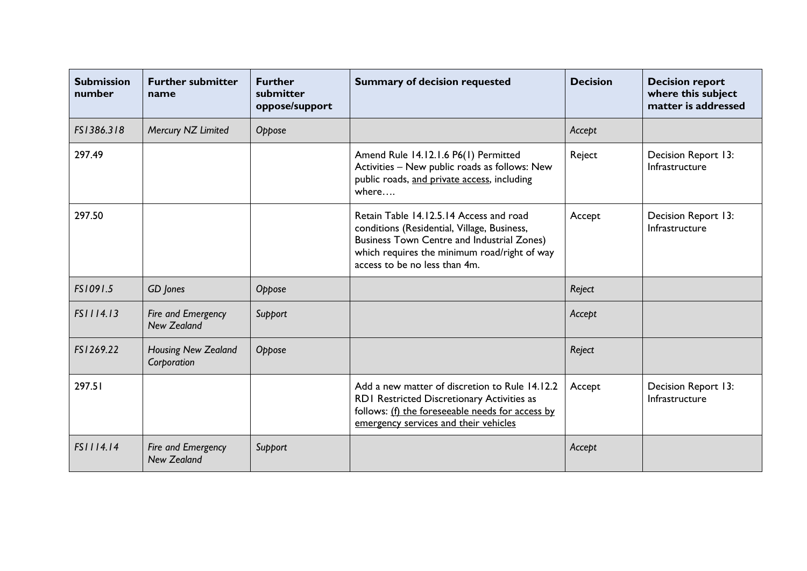| <b>Submission</b><br>number | <b>Further submitter</b><br>name          | <b>Further</b><br>submitter<br>oppose/support | <b>Summary of decision requested</b>                                                                                                                                                                                  | <b>Decision</b> | <b>Decision report</b><br>where this subject<br>matter is addressed |
|-----------------------------|-------------------------------------------|-----------------------------------------------|-----------------------------------------------------------------------------------------------------------------------------------------------------------------------------------------------------------------------|-----------------|---------------------------------------------------------------------|
| FS1386.318                  | Mercury NZ Limited                        | Oppose                                        |                                                                                                                                                                                                                       | Accept          |                                                                     |
| 297.49                      |                                           |                                               | Amend Rule 14.12.1.6 P6(1) Permitted<br>Activities - New public roads as follows: New<br>public roads, and private access, including<br>where                                                                         | Reject          | Decision Report 13:<br>Infrastructure                               |
| 297.50                      |                                           |                                               | Retain Table 14.12.5.14 Access and road<br>conditions (Residential, Village, Business,<br>Business Town Centre and Industrial Zones)<br>which requires the minimum road/right of way<br>access to be no less than 4m. | Accept          | Decision Report 13:<br>Infrastructure                               |
| FS1091.5                    | GD Jones                                  | Oppose                                        |                                                                                                                                                                                                                       | Reject          |                                                                     |
| FS1114.13                   | Fire and Emergency<br><b>New Zealand</b>  | Support                                       |                                                                                                                                                                                                                       | Accept          |                                                                     |
| FS1269.22                   | <b>Housing New Zealand</b><br>Corporation | Oppose                                        |                                                                                                                                                                                                                       | Reject          |                                                                     |
| 297.51                      |                                           |                                               | Add a new matter of discretion to Rule 14.12.2<br>RD1 Restricted Discretionary Activities as<br>follows: (f) the foreseeable needs for access by<br>emergency services and their vehicles                             | Accept          | Decision Report 13:<br>Infrastructure                               |
| FS1114.14                   | Fire and Emergency<br><b>New Zealand</b>  | Support                                       |                                                                                                                                                                                                                       | Accept          |                                                                     |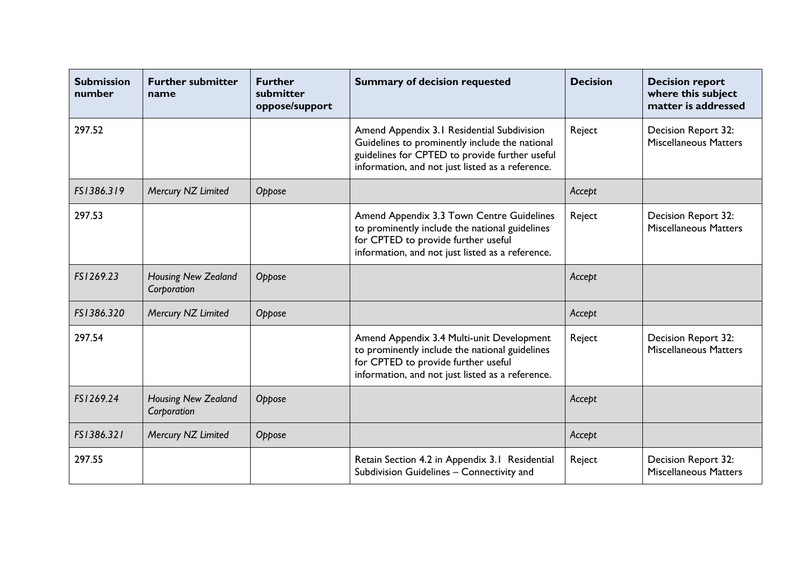| <b>Submission</b><br>number | <b>Further submitter</b><br>name          | <b>Further</b><br>submitter<br>oppose/support | <b>Summary of decision requested</b>                                                                                                                                                               | <b>Decision</b> | <b>Decision report</b><br>where this subject<br>matter is addressed |
|-----------------------------|-------------------------------------------|-----------------------------------------------|----------------------------------------------------------------------------------------------------------------------------------------------------------------------------------------------------|-----------------|---------------------------------------------------------------------|
| 297.52                      |                                           |                                               | Amend Appendix 3.1 Residential Subdivision<br>Guidelines to prominently include the national<br>guidelines for CPTED to provide further useful<br>information, and not just listed as a reference. | Reject          | Decision Report 32:<br><b>Miscellaneous Matters</b>                 |
| FS1386.319                  | Mercury NZ Limited                        | Oppose                                        |                                                                                                                                                                                                    | Accept          |                                                                     |
| 297.53                      |                                           |                                               | Amend Appendix 3.3 Town Centre Guidelines<br>to prominently include the national guidelines<br>for CPTED to provide further useful<br>information, and not just listed as a reference.             | Reject          | Decision Report 32:<br><b>Miscellaneous Matters</b>                 |
| FS1269.23                   | <b>Housing New Zealand</b><br>Corporation | Oppose                                        |                                                                                                                                                                                                    | Accept          |                                                                     |
| FS1386.320                  | Mercury NZ Limited                        | Oppose                                        |                                                                                                                                                                                                    | Accept          |                                                                     |
| 297.54                      |                                           |                                               | Amend Appendix 3.4 Multi-unit Development<br>to prominently include the national guidelines<br>for CPTED to provide further useful<br>information, and not just listed as a reference.             | Reject          | Decision Report 32:<br><b>Miscellaneous Matters</b>                 |
| FS1269.24                   | <b>Housing New Zealand</b><br>Corporation | Oppose                                        |                                                                                                                                                                                                    | Accept          |                                                                     |
| FS1386.321                  | Mercury NZ Limited                        | Oppose                                        |                                                                                                                                                                                                    | Accept          |                                                                     |
| 297.55                      |                                           |                                               | Retain Section 4.2 in Appendix 3.1 Residential<br>Subdivision Guidelines - Connectivity and                                                                                                        | Reject          | Decision Report 32:<br><b>Miscellaneous Matters</b>                 |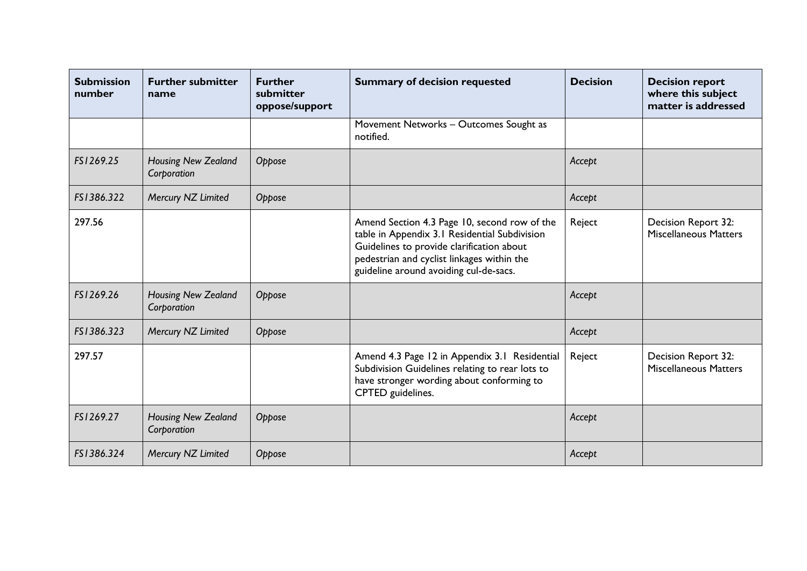| <b>Submission</b><br>number | <b>Further submitter</b><br>name          | <b>Further</b><br>submitter<br>oppose/support | <b>Summary of decision requested</b>                                                                                                                                                                                               | <b>Decision</b> | <b>Decision report</b><br>where this subject<br>matter is addressed |
|-----------------------------|-------------------------------------------|-----------------------------------------------|------------------------------------------------------------------------------------------------------------------------------------------------------------------------------------------------------------------------------------|-----------------|---------------------------------------------------------------------|
|                             |                                           |                                               | Movement Networks - Outcomes Sought as<br>notified.                                                                                                                                                                                |                 |                                                                     |
| FS1269.25                   | <b>Housing New Zealand</b><br>Corporation | Oppose                                        |                                                                                                                                                                                                                                    | Accept          |                                                                     |
| FS1386.322                  | Mercury NZ Limited                        | Oppose                                        |                                                                                                                                                                                                                                    | Accept          |                                                                     |
| 297.56                      |                                           |                                               | Amend Section 4.3 Page 10, second row of the<br>table in Appendix 3.1 Residential Subdivision<br>Guidelines to provide clarification about<br>pedestrian and cyclist linkages within the<br>guideline around avoiding cul-de-sacs. | Reject          | Decision Report 32:<br><b>Miscellaneous Matters</b>                 |
| FS1269.26                   | <b>Housing New Zealand</b><br>Corporation | Oppose                                        |                                                                                                                                                                                                                                    | Accept          |                                                                     |
| FS1386.323                  | Mercury NZ Limited                        | Oppose                                        |                                                                                                                                                                                                                                    | Accept          |                                                                     |
| 297.57                      |                                           |                                               | Amend 4.3 Page 12 in Appendix 3.1 Residential<br>Subdivision Guidelines relating to rear lots to<br>have stronger wording about conforming to<br>CPTED guidelines.                                                                 | Reject          | Decision Report 32:<br><b>Miscellaneous Matters</b>                 |
| FS1269.27                   | Housing New Zealand<br>Corporation        | Oppose                                        |                                                                                                                                                                                                                                    | Accept          |                                                                     |
| FS1386.324                  | Mercury NZ Limited                        | Oppose                                        |                                                                                                                                                                                                                                    | Accept          |                                                                     |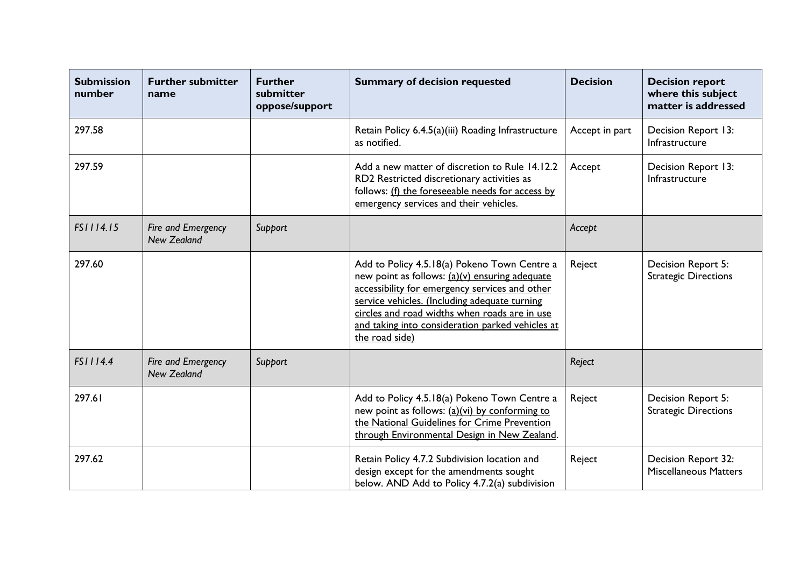| <b>Submission</b><br>number | <b>Further submitter</b><br>name         | <b>Further</b><br>submitter<br>oppose/support | <b>Summary of decision requested</b>                                                                                                                                                                                                                                                                                     | <b>Decision</b> | <b>Decision report</b><br>where this subject<br>matter is addressed |
|-----------------------------|------------------------------------------|-----------------------------------------------|--------------------------------------------------------------------------------------------------------------------------------------------------------------------------------------------------------------------------------------------------------------------------------------------------------------------------|-----------------|---------------------------------------------------------------------|
| 297.58                      |                                          |                                               | Retain Policy 6.4.5(a)(iii) Roading Infrastructure<br>as notified.                                                                                                                                                                                                                                                       | Accept in part  | Decision Report 13:<br>Infrastructure                               |
| 297.59                      |                                          |                                               | Add a new matter of discretion to Rule 14.12.2<br>RD2 Restricted discretionary activities as<br>follows: (f) the foreseeable needs for access by<br>emergency services and their vehicles.                                                                                                                               | Accept          | Decision Report 13:<br>Infrastructure                               |
| FS1114.15                   | Fire and Emergency<br><b>New Zealand</b> | Support                                       |                                                                                                                                                                                                                                                                                                                          | Accept          |                                                                     |
| 297.60                      |                                          |                                               | Add to Policy 4.5.18(a) Pokeno Town Centre a<br>new point as follows: (a)(v) ensuring adequate<br>accessibility for emergency services and other<br>service vehicles. (Including adequate turning<br>circles and road widths when roads are in use<br>and taking into consideration parked vehicles at<br>the road side) | Reject          | Decision Report 5:<br><b>Strategic Directions</b>                   |
| FS1114.4                    | Fire and Emergency<br><b>New Zealand</b> | Support                                       |                                                                                                                                                                                                                                                                                                                          | Reject          |                                                                     |
| 297.61                      |                                          |                                               | Add to Policy 4.5.18(a) Pokeno Town Centre a<br>new point as follows: (a)(vi) by conforming to<br>the National Guidelines for Crime Prevention<br>through Environmental Design in New Zealand.                                                                                                                           | Reject          | Decision Report 5:<br><b>Strategic Directions</b>                   |
| 297.62                      |                                          |                                               | Retain Policy 4.7.2 Subdivision location and<br>design except for the amendments sought<br>below. AND Add to Policy 4.7.2(a) subdivision                                                                                                                                                                                 | Reject          | Decision Report 32:<br><b>Miscellaneous Matters</b>                 |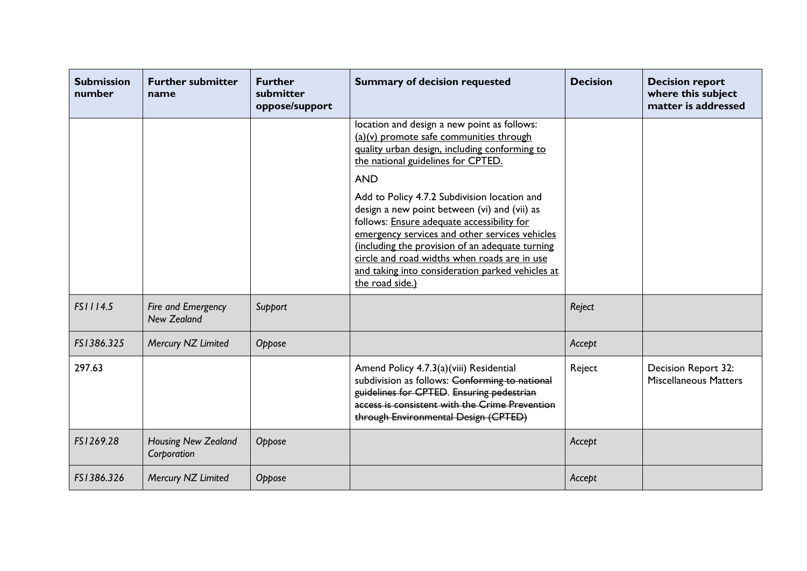| <b>Submission</b><br>number | <b>Further submitter</b><br>name          | <b>Further</b><br>submitter<br>oppose/support | <b>Summary of decision requested</b>                                                                                                                                                                                                                                                                                                                                                                                                                                                                                                                                  | <b>Decision</b> | <b>Decision report</b><br>where this subject<br>matter is addressed |
|-----------------------------|-------------------------------------------|-----------------------------------------------|-----------------------------------------------------------------------------------------------------------------------------------------------------------------------------------------------------------------------------------------------------------------------------------------------------------------------------------------------------------------------------------------------------------------------------------------------------------------------------------------------------------------------------------------------------------------------|-----------------|---------------------------------------------------------------------|
|                             |                                           |                                               | location and design a new point as follows:<br>(a)(v) promote safe communities through<br>quality urban design, including conforming to<br>the national guidelines for CPTED.<br><b>AND</b><br>Add to Policy 4.7.2 Subdivision location and<br>design a new point between (vi) and (vii) as<br>follows: Ensure adequate accessibility for<br>emergency services and other services vehicles<br>(including the provision of an adequate turning<br>circle and road widths when roads are in use<br>and taking into consideration parked vehicles at<br>the road side.) |                 |                                                                     |
| FS1114.5                    | Fire and Emergency<br><b>New Zealand</b>  | Support                                       |                                                                                                                                                                                                                                                                                                                                                                                                                                                                                                                                                                       | Reject          |                                                                     |
| FS1386.325                  | Mercury NZ Limited                        | Oppose                                        |                                                                                                                                                                                                                                                                                                                                                                                                                                                                                                                                                                       | Accept          |                                                                     |
| 297.63                      |                                           |                                               | Amend Policy 4.7.3(a)(viii) Residential<br>subdivision as follows: Conforming to national<br>guidelines for CPTED. Ensuring pedestrian<br>access is consistent with the Crime Prevention<br>through Environmental Design (CPTED)                                                                                                                                                                                                                                                                                                                                      | Reject          | Decision Report 32:<br><b>Miscellaneous Matters</b>                 |
| FS1269.28                   | <b>Housing New Zealand</b><br>Corporation | Oppose                                        |                                                                                                                                                                                                                                                                                                                                                                                                                                                                                                                                                                       | Accept          |                                                                     |
| FS1386.326                  | Mercury NZ Limited                        | Oppose                                        |                                                                                                                                                                                                                                                                                                                                                                                                                                                                                                                                                                       | Accept          |                                                                     |